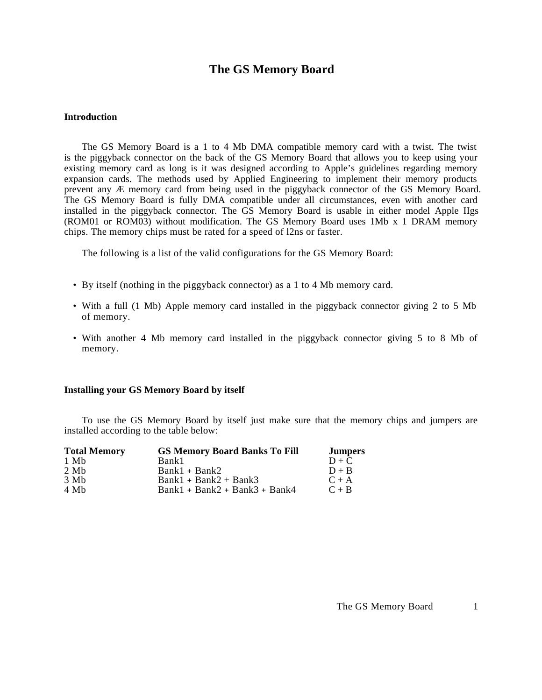# **The GS Memory Board**

## **Introduction**

The GS Memory Board is a 1 to 4 Mb DMA compatible memory card with a twist. The twist is the piggyback connector on the back of the GS Memory Board that allows you to keep using your existing memory card as long is it was designed according to Apple's guidelines regarding memory expansion cards. The methods used by Applied Engineering to implement their memory products prevent any Æ memory card from being used in the piggyback connector of the GS Memory Board. The GS Memory Board is fully DMA compatible under all circumstances, even with another card installed in the piggyback connector. The GS Memory Board is usable in either model Apple IIgs (ROM01 or ROM03) without modification. The GS Memory Board uses 1Mb x 1 DRAM memory chips. The memory chips must be rated for a speed of l2ns or faster.

The following is a list of the valid configurations for the GS Memory Board:

- By itself (nothing in the piggyback connector) as a 1 to 4 Mb memory card.
- With a full (1 Mb) Apple memory card installed in the piggyback connector giving 2 to 5 Mb of memory.
- With another 4 Mb memory card installed in the piggyback connector giving 5 to 8 Mb of memory.

#### **Installing your GS Memory Board by itself**

To use the GS Memory Board by itself just make sure that the memory chips and jumpers are installed according to the table below:

| <b>Total Memory</b> | <b>GS Memory Board Banks To Fill</b> | <b>Jumpers</b> |
|---------------------|--------------------------------------|----------------|
| 1 Mb                | Bank1                                | $D + C$        |
| 2 Mb                | $Bank1 + Bank2$                      | $D + B$        |
| $3 \mathrm{Mh}$     | $Bank1 + Bank2 + Bank3$              | $C + A$        |
| 4 Mh                | $Bank1 + Bank2 + Bank3 + Bank4$      | $C + B$        |